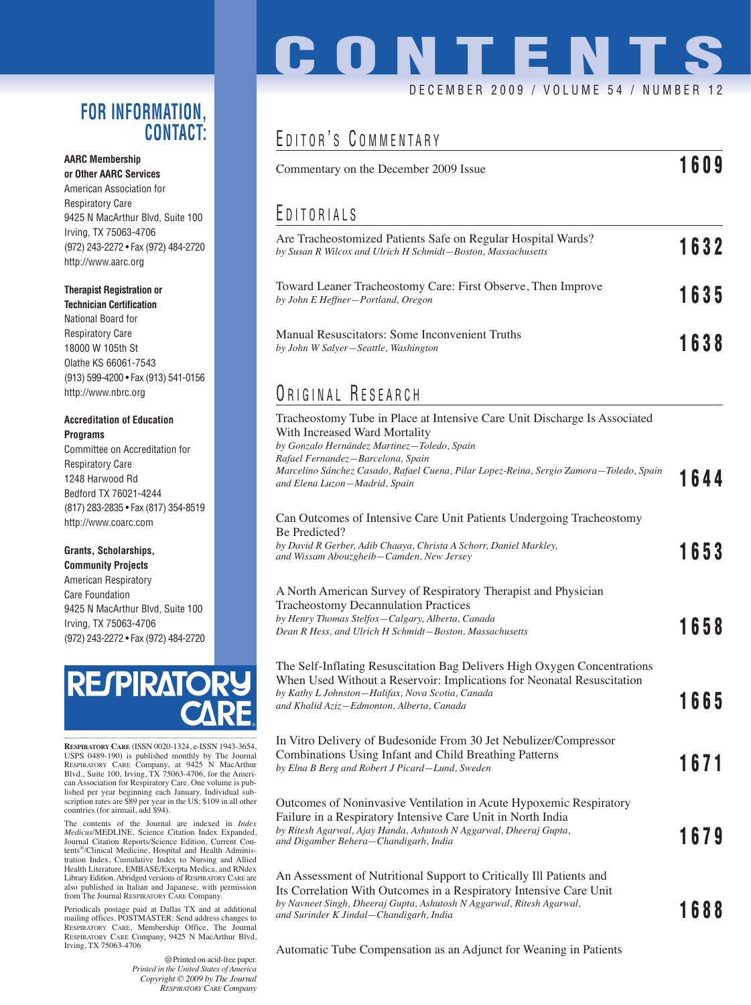### **FOR INFORMATION, CONTACT:**

#### **AARC Membership or Other AARC Services**

American Association for Respiratory Care 9425 N MacArthur Blvd, Suite 100 Irving, TX 75063-4706 (972) 243-2272 • Fax (972) 484-2720 http://www.aarc.org

#### **Therapist Registration or**

**Technician Certification** National Board for Respiratory Care 18000 W 105th St Olathe KS 66061-7543 (913) 599-4200 • Fax (913) 541-0156 http://www.nbrc.org

#### **Accreditation of Education Programs**

Committee on Accreditation for Respiratory Care 1248 Harwood Rd Bedford TX 76021-4244 (817) 283-2835 • Fax (817) 354-8519 http://www.coarc.com

#### **Grants, Scholarships, Community Projects**

American Respiratory Care Foundation 9425 N MacArthur Blvd, Suite 100 Irving, TX 75063-4706 (972) 243-2272 • Fax (972) 484-2720



**RESPIRATORY CARE** (ISSN 0020-1324, e-ISSN 1943-3654, USPS 0489-190) is published monthly by The Journal RESPIRATORY CARE Company, at 9425 N MacArthur Blvd., Suite 100, Irving, TX 75063-4706, for the American Association for Respiratory Care. One volume is published per year beginning each January. Individual sub-scription rates are \$89 per year in the US; \$109 in all other countries (for airmail, add \$94).

The contents of the Journal are indexed in *Index Medicus*/MEDLINE, Science Citation Index Expanded, Journal Citation Reports/Science Edition, Current Contents®/Clinical Medicine, Hospital and Health Administration Index, Cumulative Index to Nursing and Allied Health Literature, EMBASE/Exerpta Medica, and RNdex Library Edition. Abridged versions of RESPIRATORY CARE are also published in Italian and Japanese, with permission from The Journal RESPIRATORY CARE Company.

Periodicals postage paid at Dallas TX and at additional mailing offices. POSTMASTER: Send address changes to RESPIRATORY CARE, Membership Office, The Journal RESPIRATORY CARE Company, 9425 N MacArthur Blvd, Irving, TX 75063-4706

> Printed on acid-free paper. *Printed in the United States of America Copyright © 2009 by The Journal RESPIRATORY CARE Company*

## **CONTENTS** DECEMBER 2009 / VOLUME 54 / NUMBER

## EDITOR'S COMMENTARY

| Commentary on the December 2009 Issue                                                                                        | 1609 |
|------------------------------------------------------------------------------------------------------------------------------|------|
| EDITORIALS                                                                                                                   |      |
| Are Tracheostomized Patients Safe on Regular Hospital Wards?<br>by Susan R Wilcox and Ulrich H Schmidt-Boston, Massachusetts | 1632 |
| Toward Leaner Tracheostomy Care: First Observe, Then Improve<br>by John E Heffner-Portland, Oregon                           | 1635 |
| <b>Manual Resuscitators: Some Inconvenient Truths</b><br>by John W Salyer-Seattle, Washington                                | 1638 |

## ORIGINAL RESEARCH

| Tracheostomy Tube in Place at Intensive Care Unit Discharge Is Associated<br>With Increased Ward Mortality<br>by Gonzalo Hernández Martinez-Toledo, Spain<br>Rafael Fernandez-Barcelona, Spain                                                                |      |
|---------------------------------------------------------------------------------------------------------------------------------------------------------------------------------------------------------------------------------------------------------------|------|
| Marcelino Sánchez Casado, Rafael Cuena, Pilar Lopez-Reina, Sergio Zamora-Toledo, Spain<br>and Elena Luzon-Madrid, Spain                                                                                                                                       | 1644 |
| Can Outcomes of Intensive Care Unit Patients Undergoing Tracheostomy<br>Be Predicted?                                                                                                                                                                         |      |
| by David R Gerber, Adib Chaaya, Christa A Schorr, Daniel Markley,<br>and Wissam Abouzgheib-Camden, New Jersey                                                                                                                                                 | 1653 |
| A North American Survey of Respiratory Therapist and Physician<br><b>Tracheostomy Decannulation Practices</b>                                                                                                                                                 |      |
| by Henry Thomas Stelfox-Calgary, Alberta, Canada<br>Dean R Hess, and Ulrich H Schmidt-Boston, Massachusetts                                                                                                                                                   | 1658 |
| The Self-Inflating Resuscitation Bag Delivers High Oxygen Concentrations<br>When Used Without a Reservoir: Implications for Neonatal Resuscitation<br>by Kathy L Johnston-Halifax, Nova Scotia, Canada<br>and Khalid Aziz-Edmonton, Alberta, Canada           | 1665 |
| In Vitro Delivery of Budesonide From 30 Jet Nebulizer/Compressor<br>Combinations Using Infant and Child Breathing Patterns<br>by Elna B Berg and Robert J Picard-Lund, Sweden                                                                                 | 1671 |
| Outcomes of Noninvasive Ventilation in Acute Hypoxemic Respiratory<br>Failure in a Respiratory Intensive Care Unit in North India<br>by Ritesh Agarwal, Ajay Handa, Ashutosh N Aggarwal, Dheeraj Gupta,<br>and Digamber Behera-Chandigarh, India              | 1679 |
| An Assessment of Nutritional Support to Critically Ill Patients and<br>Its Correlation With Outcomes in a Respiratory Intensive Care Unit<br>by Navneet Singh, Dheeraj Gupta, Ashutosh N Aggarwal, Ritesh Agarwal,<br>and Surinder K Jindal-Chandigarh, India | 1688 |

Automatic Tube Compensation as an Adjunct for Weaning in Patients